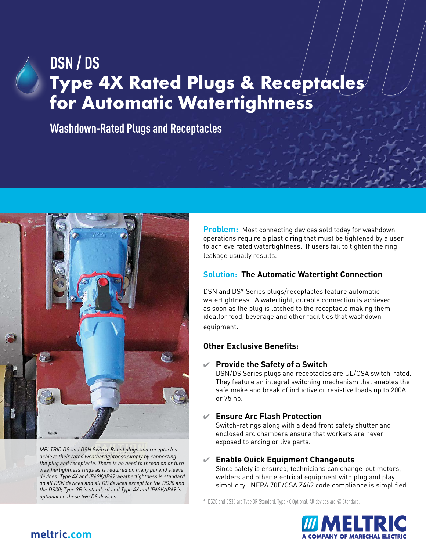# **DSN / DS Type 4X Rated Plugs & Receptacles for Automatic Watertightness**

**Washdown-Rated Plugs and Receptacles**



*MELTRIC DS and DSN Switch-Rated plugs and receptacles achieve their rated weathertightness simply by connecting the plug and receptacle. There is no need to thread on or turn weathertightness rings as is required on many pin and sleeve devices. Type 4X and IP69K/IP69 weathertightness is standard on all DSN devices and all DS devices except for the DS20 and the DS30; Type 3R is standard and Type 4X and IP69K/IP69 is optional on these two DS devices.*

**Problem:** Most connecting devices sold today for washdown operations require a plastic ring that must be tightened by a user to achieve rated watertightness. If users fail to tighten the ring, leakage usually results.

#### **Solution: The Automatic Watertight Connection**

DSN and DS\* Series plugs/receptacles feature automatic watertightness. A watertight, durable connection is achieved as soon as the plug is latched to the receptacle making them idealfor food, beverage and other facilities that washdown equipment.

#### **Other Exclusive Benefits:**

#### 4 **Provide the Safety of a Switch**

DSN/DS Series plugs and receptacles are UL/CSA switch-rated. They feature an integral switching mechanism that enables the safe make and break of inductive or resistive loads up to 200A or 75 hp.

#### 4 **Ensure Arc Flash Protection**

Switch-ratings along with a dead front safety shutter and enclosed arc chambers ensure that workers are never exposed to arcing or live parts.

#### 4 **Enable Quick Equipment Changeouts**

Since safety is ensured, technicians can change-out motors, welders and other electrical equipment with plug and play simplicity. NFPA 70E/CSA Z462 code compliance is simplified.

\* DS20 and DS30 are Type 3R Standard, Type 4X Optional. All devices are 4X Standard.



## **[meltric.com](http://www.meltric.com)**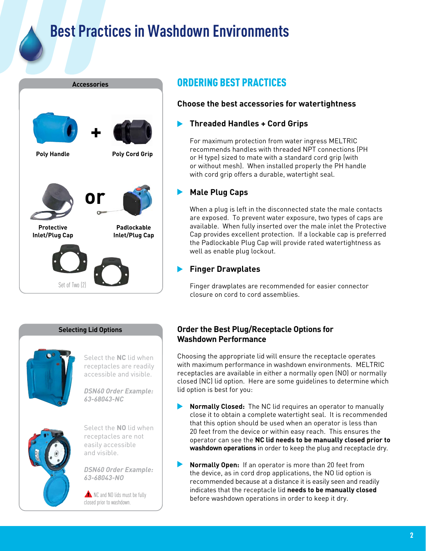# **Best Practices in Washdown Environments**



## ORDERING BEST PRACTICES

### **Choose the best accessories for watertightness**

#### **Threaded Handles + Cord Grips**

For maximum protection from water ingress MELTRIC recommends handles with threaded NPT connections (PH or H type) sized to mate with a standard cord grip (with or without mesh). When installed properly the PH handle with cord grip offers a durable, watertight seal.

### **Male Plug Caps**

When a plug is left in the disconnected state the male contacts are exposed. To prevent water exposure, two types of caps are available. When fully inserted over the male inlet the Protective Cap provides excellent protection. If a lockable cap is preferred the Padlockable Plug Cap will provide rated watertightness as well as enable plug lockout.

#### **Finger Drawplates**

Finger drawplates are recommended for easier connector closure on cord to cord assemblies.

#### **Selecting Lid Options**



Select the **NC** lid when receptacles are readily accessible and visible.

*DSN60 Order Example: 63-68043-NC*



Select the **NO** lid when receptacles are not easily accessible and visible.

*DSN60 Order Example: 63-68043-NO*

NC and NO lids must be fully closed prior to washdown.

#### **Order the Best Plug/Receptacle Options for Washdown Performance**

Choosing the appropriate lid will ensure the receptacle operates with maximum performance in washdown environments. MELTRIC receptacles are available in either a normally open (NO) or normally closed (NC) lid option. Here are some guidelines to determine which lid option is best for you:

- $\blacktriangleright$ **Normally Closed:** The NC lid requires an operator to manually close it to obtain a complete watertight seal. It is recommended that this option should be used when an operator is less than 20 feet from the device or within easy reach. This ensures the operator can see the **NC lid needs to be manually closed prior to washdown operations** in order to keep the plug and receptacle dry.
- $\blacktriangleright$ **Normally Open:** If an operator is more than 20 feet from the device, as in cord drop applications, the NO lid option is recommended because at a distance it is easily seen and readily indicates that the receptacle lid **needs to be manually closed** before washdown operations in order to keep it dry.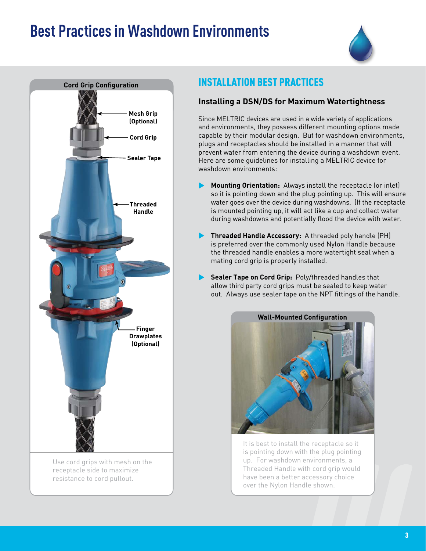## **Best Practices in Washdown Environments**





Use cord grips with mesh on the receptacle side to maximize resistance to cord pullout.

## INSTALLATION BEST PRACTICES

#### **Installing a DSN/DS for Maximum Watertightness**

Since MELTRIC devices are used in a wide variety of applications and environments, they possess different mounting options made capable by their modular design. But for washdown environments, plugs and receptacles should be installed in a manner that will prevent water from entering the device during a washdown event. Here are some guidelines for installing a MELTRIC device for washdown environments:

- **Mounting Orientation:** Always install the receptacle (or inlet) so it is pointing down and the plug pointing up. This will ensure water goes over the device during washdowns. (If the receptacle is mounted pointing up, it will act like a cup and collect water during washdowns and potentially flood the device with water.
- **Threaded Handle Accessory:** A threaded poly handle (PH) is preferred over the commonly used Nylon Handle because the threaded handle enables a more watertight seal when a mating cord grip is properly installed.
- **Sealer Tape on Cord Grip:** Poly/threaded handles that allow third party cord grips must be sealed to keep water out. Always use sealer tape on the NPT fittings of the handle.



It is best to install the receptacle so it is pointing down with the plug pointing up. For washdown environments, a Threaded Handle with cord grip would have been a better accessory choice over the Nylon Handle shown.